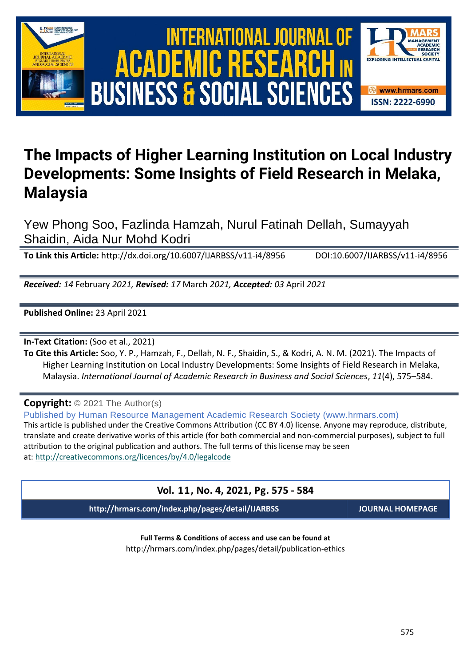

# International Journal of Academic Research in Business and Social Sciences **Vol. 1 1 , No. 4, 2021, E-ISSN: 2222-6990 © 2021 HRMARS ACADEMIC BUSINESS & SOCIAL SCIENCES**



# **The Impacts of Higher Learning Institution on Local Industry Developments: Some Insights of Field Research in Melaka, Malaysia**

Yew Phong Soo, Fazlinda Hamzah, Nurul Fatinah Dellah, Sumayyah Shaidin, Aida Nur Mohd Kodri

**To Link this Article:** http://dx.doi.org/10.6007/IJARBSS/v11-i4/8956 DOI:10.6007/IJARBSS/v11-i4/8956

*Received: 14* February *2021, Revised: 17* March *2021, Accepted: 03* April *2021*

**Published Online:** 23 April 2021

**In-Text Citation:** (Soo et al., 2021)

**To Cite this Article:** Soo, Y. P., Hamzah, F., Dellah, N. F., Shaidin, S., & Kodri, A. N. M. (2021). The Impacts of Higher Learning Institution on Local Industry Developments: Some Insights of Field Research in Melaka, Malaysia. *International Journal of Academic Research in Business and Social Sciences*, *11*(4), 575–584.

**Copyright:** © 2021 The Author(s)

Published by Human Resource Management Academic Research Society (www.hrmars.com) This article is published under the Creative Commons Attribution (CC BY 4.0) license. Anyone may reproduce, distribute, translate and create derivative works of this article (for both commercial and non-commercial purposes), subject to full attribution to the original publication and authors. The full terms of this license may be seen at: <http://creativecommons.org/licences/by/4.0/legalcode>

# **Vol. 11, No. 4, 2021, Pg. 575 - 584**

**http://hrmars.com/index.php/pages/detail/IJARBSS JOURNAL HOMEPAGE**

**Full Terms & Conditions of access and use can be found at** http://hrmars.com/index.php/pages/detail/publication-ethics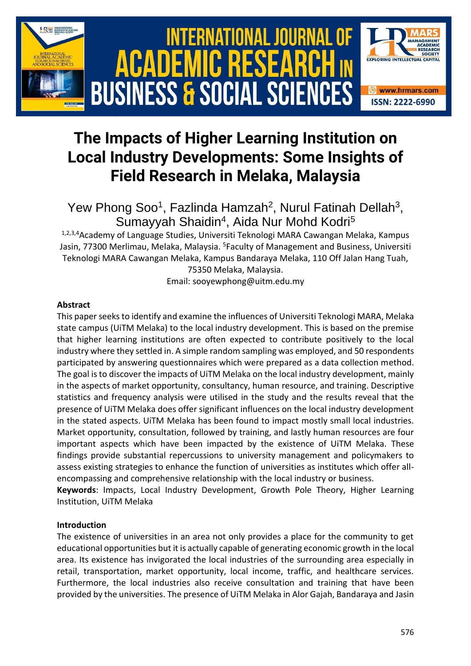

# **The Impacts of Higher Learning Institution on Local Industry Developments: Some Insights of Field Research in Melaka, Malaysia**

Yew Phong Soo<sup>1</sup>, Fazlinda Hamzah<sup>2</sup>, Nurul Fatinah Dellah<sup>3</sup>, Sumayyah Shaidin<sup>4</sup>, Aida Nur Mohd Kodri<sup>5</sup>

1,2,3,4 Academy of Language Studies, Universiti Teknologi MARA Cawangan Melaka, Kampus Jasin, 77300 Merlimau, Melaka, Malaysia. <sup>5</sup>Faculty of Management and Business, Universiti Teknologi MARA Cawangan Melaka, Kampus Bandaraya Melaka, 110 Off Jalan Hang Tuah, 75350 Melaka, Malaysia.

Email: sooyewphong@uitm.edu.my

# **Abstract**

This paper seeks to identify and examine the influences of Universiti Teknologi MARA, Melaka state campus (UiTM Melaka) to the local industry development. This is based on the premise that higher learning institutions are often expected to contribute positively to the local industry where they settled in. A simple random sampling was employed, and 50 respondents participated by answering questionnaires which were prepared as a data collection method. The goal is to discover the impacts of UiTM Melaka on the local industry development, mainly in the aspects of market opportunity, consultancy, human resource, and training. Descriptive statistics and frequency analysis were utilised in the study and the results reveal that the presence of UiTM Melaka does offer significant influences on the local industry development in the stated aspects. UiTM Melaka has been found to impact mostly small local industries. Market opportunity, consultation, followed by training, and lastly human resources are four important aspects which have been impacted by the existence of UiTM Melaka. These findings provide substantial repercussions to university management and policymakers to assess existing strategies to enhance the function of universities as institutes which offer allencompassing and comprehensive relationship with the local industry or business.

**Keywords**: Impacts, Local Industry Development, Growth Pole Theory, Higher Learning Institution, UiTM Melaka

#### **Introduction**

The existence of universities in an area not only provides a place for the community to get educational opportunities but it is actually capable of generating economic growth in the local area. Its existence has invigorated the local industries of the surrounding area especially in retail, transportation, market opportunity, local income, traffic, and healthcare services. Furthermore, the local industries also receive consultation and training that have been provided by the universities. The presence of UiTM Melaka in Alor Gajah, Bandaraya and Jasin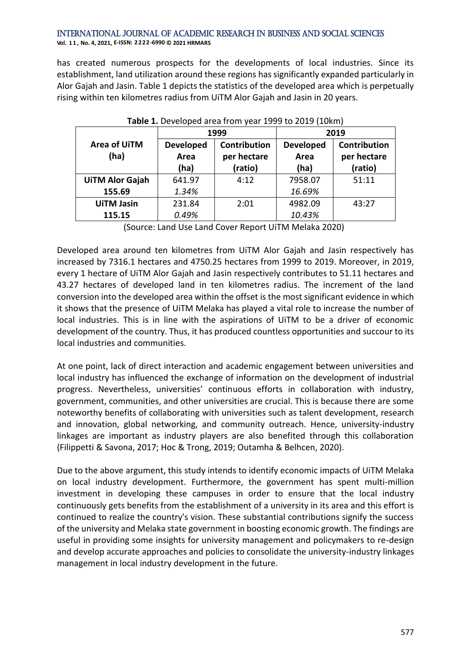#### International Journal of Academic Research in Business and Social Sciences **Vol. 1 1 , No. 4, 2021, E-ISSN: 2222-6990 © 2021 HRMARS**

has created numerous prospects for the developments of local industries. Since its establishment, land utilization around these regions has significantly expanded particularly in Alor Gajah and Jasin. Table 1 depicts the statistics of the developed area which is perpetually rising within ten kilometres radius from UiTM Alor Gajah and Jasin in 20 years.

| <b>Fable 1:</b> Developed area from year 1999 to 2019 (10MH) |                  |                     |                  |                     |  |
|--------------------------------------------------------------|------------------|---------------------|------------------|---------------------|--|
|                                                              |                  | 1999                | 2019             |                     |  |
| Area of UiTM                                                 | <b>Developed</b> | <b>Contribution</b> | <b>Developed</b> | <b>Contribution</b> |  |
| (ha)                                                         | Area             | per hectare         | Area             | per hectare         |  |
|                                                              | (ha)             | (ratio)             | (ha)             | (ratio)             |  |
| <b>UiTM Alor Gajah</b>                                       | 641.97           | 4:12                | 7958.07          | 51:11               |  |
| 155.69                                                       | 1.34%            |                     | 16.69%           |                     |  |
| <b>UiTM Jasin</b>                                            | 231.84           | 2:01                | 4982.09          | 43:27               |  |
| 115.15                                                       | 0.49%            |                     | 10.43%           |                     |  |

| Table 1. Developed area from year 1999 to 2019 (10km) |  |  |  |
|-------------------------------------------------------|--|--|--|
|                                                       |  |  |  |

(Source: Land Use Land Cover Report UiTM Melaka 2020)

Developed area around ten kilometres from UiTM Alor Gajah and Jasin respectively has increased by 7316.1 hectares and 4750.25 hectares from 1999 to 2019. Moreover, in 2019, every 1 hectare of UiTM Alor Gajah and Jasin respectively contributes to 51.11 hectares and 43.27 hectares of developed land in ten kilometres radius. The increment of the land conversion into the developed area within the offset is the most significant evidence in which it shows that the presence of UiTM Melaka has played a vital role to increase the number of local industries. This is in line with the aspirations of UiTM to be a driver of economic development of the country. Thus, it has produced countless opportunities and succour to its local industries and communities.

At one point, lack of direct interaction and academic engagement between universities and local industry has influenced the exchange of information on the development of industrial progress. Nevertheless, universities' continuous efforts in collaboration with industry, government, communities, and other universities are crucial. This is because there are some noteworthy benefits of collaborating with universities such as talent development, research and innovation, global networking, and community outreach. Hence, university-industry linkages are important as industry players are also benefited through this collaboration (Filippetti & Savona, 2017; Hoc & Trong, 2019; Outamha & Belhcen, 2020).

Due to the above argument, this study intends to identify economic impacts of UiTM Melaka on local industry development. Furthermore, the government has spent multi-million investment in developing these campuses in order to ensure that the local industry continuously gets benefits from the establishment of a university in its area and this effort is continued to realize the country's vision. These substantial contributions signify the success of the university and Melaka state government in boosting economic growth. The findings are useful in providing some insights for university management and policymakers to re-design and develop accurate approaches and policies to consolidate the university-industry linkages management in local industry development in the future.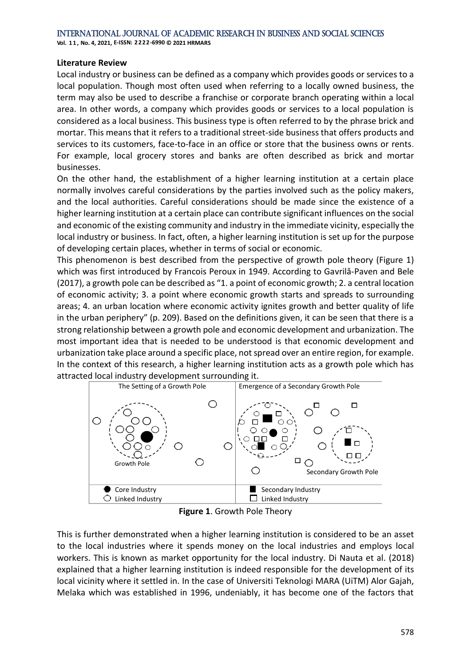**Vol. 1 1 , No. 4, 2021, E-ISSN: 2222-6990 © 2021 HRMARS**

#### **Literature Review**

Local industry or business can be defined as a company which provides goods or services to a local population. Though most often used when referring to a locally owned business, the term may also be used to describe a franchise or corporate branch operating within a local area. In other words, a company which provides goods or services to a local population is considered as a local business. This business type is often referred to by the phrase brick and mortar. This means that it refers to a traditional street-side business that offers products and services to its customers, face-to-face in an office or store that the business owns or rents. For example, local grocery stores and banks are often described as brick and mortar businesses.

On the other hand, the establishment of a higher learning institution at a certain place normally involves careful considerations by the parties involved such as the policy makers, and the local authorities. Careful considerations should be made since the existence of a higher learning institution at a certain place can contribute significant influences on the social and economic of the existing community and industry in the immediate vicinity, especially the local industry or business. In fact, often, a higher learning institution is set up for the purpose of developing certain places, whether in terms of social or economic.

This phenomenon is best described from the perspective of growth pole theory (Figure 1) which was first introduced by Francois Peroux in 1949. According to Gavrilă-Paven and Bele (2017), a growth pole can be described as "1. a point of economic growth; 2. a central location of economic activity; 3. a point where economic growth starts and spreads to surrounding areas; 4. an urban location where economic activity ignites growth and better quality of life in the urban periphery" (p. 209). Based on the definitions given, it can be seen that there is a strong relationship between a growth pole and economic development and urbanization. The most important idea that is needed to be understood is that economic development and urbanization take place around a specific place, not spread over an entire region, for example. In the context of this research, a higher learning institution acts as a growth pole which has attracted local industry development surrounding it.



**Figure 1**. Growth Pole Theory

This is further demonstrated when a higher learning institution is considered to be an asset to the local industries where it spends money on the local industries and employs local workers. This is known as market opportunity for the local industry. Di Nauta et al. (2018) explained that a higher learning institution is indeed responsible for the development of its local vicinity where it settled in. In the case of Universiti Teknologi MARA (UiTM) Alor Gajah, Melaka which was established in 1996, undeniably, it has become one of the factors that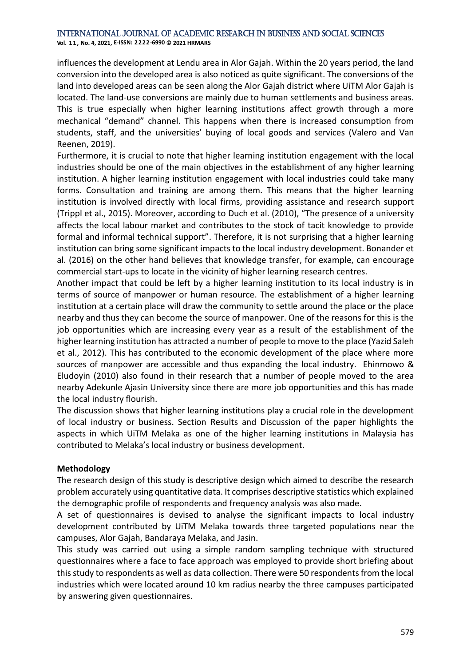**Vol. 1 1 , No. 4, 2021, E-ISSN: 2222-6990 © 2021 HRMARS**

influences the development at Lendu area in Alor Gajah. Within the 20 years period, the land conversion into the developed area is also noticed as quite significant. The conversions of the land into developed areas can be seen along the Alor Gajah district where UiTM Alor Gajah is located. The land-use conversions are mainly due to human settlements and business areas. This is true especially when higher learning institutions affect growth through a more mechanical "demand" channel. This happens when there is increased consumption from students, staff, and the universities' buying of local goods and services (Valero and Van Reenen, 2019).

Furthermore, it is crucial to note that higher learning institution engagement with the local industries should be one of the main objectives in the establishment of any higher learning institution. A higher learning institution engagement with local industries could take many forms. Consultation and training are among them. This means that the higher learning institution is involved directly with local firms, providing assistance and research support (Trippl et al., 2015). Moreover, according to Duch et al. (2010), "The presence of a university affects the local labour market and contributes to the stock of tacit knowledge to provide formal and informal technical support". Therefore, it is not surprising that a higher learning institution can bring some significant impacts to the local industry development. Bonander et al. (2016) on the other hand believes that knowledge transfer, for example, can encourage commercial start-ups to locate in the vicinity of higher learning research centres.

Another impact that could be left by a higher learning institution to its local industry is in terms of source of manpower or human resource. The establishment of a higher learning institution at a certain place will draw the community to settle around the place or the place nearby and thus they can become the source of manpower. One of the reasons for this is the job opportunities which are increasing every year as a result of the establishment of the higher learning institution has attracted a number of people to move to the place (Yazid Saleh et al., 2012). This has contributed to the economic development of the place where more sources of manpower are accessible and thus expanding the local industry. Ehinmowo & Eludoyin (2010) also found in their research that a number of people moved to the area nearby Adekunle Ajasin University since there are more job opportunities and this has made the local industry flourish.

The discussion shows that higher learning institutions play a crucial role in the development of local industry or business. Section Results and Discussion of the paper highlights the aspects in which UiTM Melaka as one of the higher learning institutions in Malaysia has contributed to Melaka's local industry or business development.

#### **Methodology**

The research design of this study is descriptive design which aimed to describe the research problem accurately using quantitative data. It comprises descriptive statistics which explained the demographic profile of respondents and frequency analysis was also made.

A set of questionnaires is devised to analyse the significant impacts to local industry development contributed by UiTM Melaka towards three targeted populations near the campuses, Alor Gajah, Bandaraya Melaka, and Jasin.

This study was carried out using a simple random sampling technique with structured questionnaires where a face to face approach was employed to provide short briefing about this study to respondents as well as data collection. There were 50 respondents from the local industries which were located around 10 km radius nearby the three campuses participated by answering given questionnaires.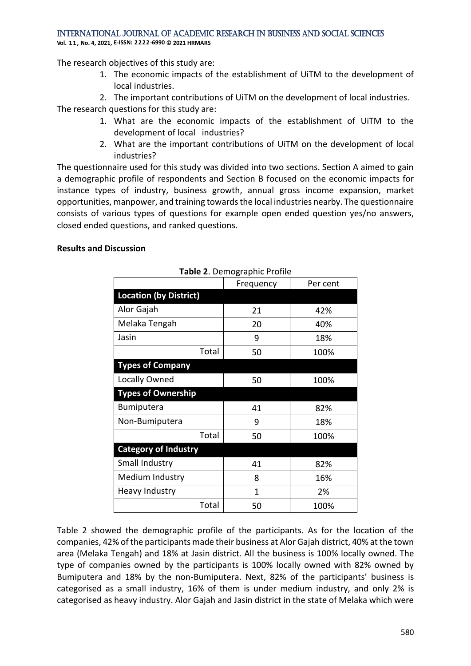**Vol. 1 1 , No. 4, 2021, E-ISSN: 2222-6990 © 2021 HRMARS**

The research objectives of this study are:

- 1. The economic impacts of the establishment of UiTM to the development of local industries.
- 2. The important contributions of UiTM on the development of local industries.

The research questions for this study are:

- 1. What are the economic impacts of the establishment of UiTM to the development of local industries?
- 2. What are the important contributions of UiTM on the development of local industries?

The questionnaire used for this study was divided into two sections. Section A aimed to gain a demographic profile of respondents and Section B focused on the economic impacts for instance types of industry, business growth, annual gross income expansion, market opportunities, manpower, and training towards the local industries nearby. The questionnaire consists of various types of questions for example open ended question yes/no answers, closed ended questions, and ranked questions.

#### **Results and Discussion**

| <b>Table 2.</b> Define applie Profile |           |          |  |  |  |
|---------------------------------------|-----------|----------|--|--|--|
|                                       | Frequency | Per cent |  |  |  |
| <b>Location (by District)</b>         |           |          |  |  |  |
| Alor Gajah                            | 21        | 42%      |  |  |  |
| Melaka Tengah                         | 20        | 40%      |  |  |  |
| Jasin                                 | 9         | 18%      |  |  |  |
| Total                                 | 50        | 100%     |  |  |  |
| <b>Types of Company</b>               |           |          |  |  |  |
| Locally Owned                         | 50        | 100%     |  |  |  |
| <b>Types of Ownership</b>             |           |          |  |  |  |
| <b>Bumiputera</b>                     | 41        | 82%      |  |  |  |
| Non-Bumiputera                        | 9         | 18%      |  |  |  |
| Total                                 | 50        | 100%     |  |  |  |
| <b>Category of Industry</b>           |           |          |  |  |  |
| Small Industry                        | 41        | 82%      |  |  |  |
| Medium Industry                       | 8         | 16%      |  |  |  |
| <b>Heavy Industry</b>                 | 1         | 2%       |  |  |  |
| Total                                 | 50        | 100%     |  |  |  |

**Table 2**. Demographic Profile

Table 2 showed the demographic profile of the participants. As for the location of the companies, 42% of the participants made their business at Alor Gajah district, 40% at the town area (Melaka Tengah) and 18% at Jasin district. All the business is 100% locally owned. The type of companies owned by the participants is 100% locally owned with 82% owned by Bumiputera and 18% by the non-Bumiputera. Next, 82% of the participants' business is categorised as a small industry, 16% of them is under medium industry, and only 2% is categorised as heavy industry. Alor Gajah and Jasin district in the state of Melaka which were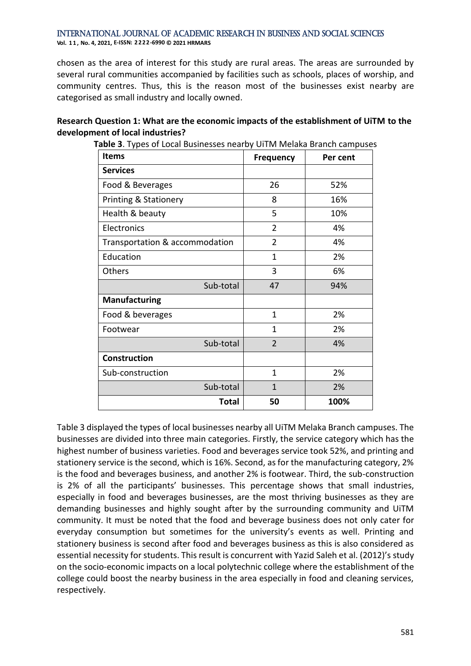#### International Journal of Academic Research in Business and Social Sciences **Vol. 1 1 , No. 4, 2021, E-ISSN: 2222-6990 © 2021 HRMARS**

chosen as the area of interest for this study are rural areas. The areas are surrounded by several rural communities accompanied by facilities such as schools, places of worship, and community centres. Thus, this is the reason most of the businesses exist nearby are categorised as small industry and locally owned.

### **Research Question 1: What are the economic impacts of the establishment of UiTM to the development of local industries?**

| <b>Items</b>                     | <b>Frequency</b> | Per cent |
|----------------------------------|------------------|----------|
| <b>Services</b>                  |                  |          |
| Food & Beverages                 | 26               | 52%      |
| <b>Printing &amp; Stationery</b> | 8                | 16%      |
| Health & beauty                  | 5                | 10%      |
| Electronics                      | $\overline{2}$   | 4%       |
| Transportation & accommodation   | $\overline{2}$   | 4%       |
| Education                        | $\mathbf{1}$     | 2%       |
| Others                           | 3                | 6%       |
| Sub-total                        | 47               | 94%      |
| <b>Manufacturing</b>             |                  |          |
| Food & beverages                 | 1                | 2%       |
| Footwear                         | 1                | 2%       |
| Sub-total                        | $\overline{2}$   | 4%       |
| <b>Construction</b>              |                  |          |
| Sub-construction                 | $\mathbf{1}$     | 2%       |
| Sub-total                        | $\mathbf{1}$     | 2%       |
| Total                            | 50               | 100%     |

**Table 3**. Types of Local Businesses nearby UiTM Melaka Branch campuses

Table 3 displayed the types of local businesses nearby all UiTM Melaka Branch campuses. The businesses are divided into three main categories. Firstly, the service category which has the highest number of business varieties. Food and beverages service took 52%, and printing and stationery service is the second, which is 16%. Second, as for the manufacturing category, 2% is the food and beverages business, and another 2% is footwear. Third, the sub-construction is 2% of all the participants' businesses. This percentage shows that small industries, especially in food and beverages businesses, are the most thriving businesses as they are demanding businesses and highly sought after by the surrounding community and UiTM community. It must be noted that the food and beverage business does not only cater for everyday consumption but sometimes for the university's events as well. Printing and stationery business is second after food and beverages business as this is also considered as essential necessity for students. This result is concurrent with Yazid Saleh et al. (2012)'s study on the socio-economic impacts on a local polytechnic college where the establishment of the college could boost the nearby business in the area especially in food and cleaning services, respectively.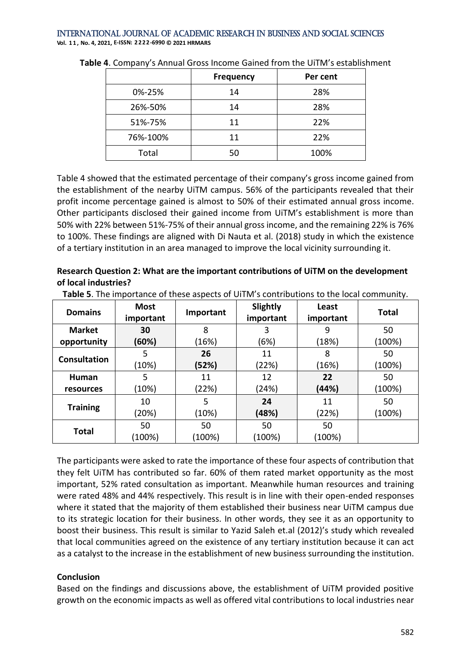International Journal of Academic Research in Business and Social Sciences **Vol. 1 1 , No. 4, 2021, E-ISSN: 2222-6990 © 2021 HRMARS**

|          | <b>Frequency</b> | Per cent |
|----------|------------------|----------|
| 0%-25%   | 14               | 28%      |
| 26%-50%  | 14               | 28%      |
| 51%-75%  | 11               | 22%      |
| 76%-100% | 11               | 22%      |
| Total    | 50               | 100%     |

**Table 4**. Company's Annual Gross Income Gained from the UiTM's establishment

Table 4 showed that the estimated percentage of their company's gross income gained from the establishment of the nearby UiTM campus. 56% of the participants revealed that their profit income percentage gained is almost to 50% of their estimated annual gross income. Other participants disclosed their gained income from UiTM's establishment is more than 50% with 22% between 51%-75% of their annual gross income, and the remaining 22% is 76% to 100%. These findings are aligned with Di Nauta et al. (2018) study in which the existence of a tertiary institution in an area managed to improve the local vicinity surrounding it.

# **Research Question 2: What are the important contributions of UiTM on the development of local industries?**

| <b>Domains</b>      | <b>Most</b><br>important | Important | Slightly<br>important | Least<br>important | <b>Total</b> |
|---------------------|--------------------------|-----------|-----------------------|--------------------|--------------|
| <b>Market</b>       | 30                       | 8         | 3                     | 9                  | 50           |
| opportunity         | (60%)                    | (16%)     | (6%)                  | (18%)              | (100%)       |
| <b>Consultation</b> | 5                        | 26        | 11                    | 8                  | 50           |
|                     | (10%)                    | (52%)     | (22%)                 | (16%)              | (100%)       |
| Human               | 5                        | 11        | 12                    | 22                 | 50           |
| resources           | (10%)                    | (22%)     | (24%)                 | (44%)              | (100%)       |
| <b>Training</b>     | 10                       | 5         | 24                    | 11                 | 50           |
|                     | (20%)                    | (10%)     | (48%)                 | (22%)              | (100%)       |
| Total               | 50                       | 50        | 50                    | 50                 |              |
|                     | $(100\%)$                | (100%)    | (100%)                | (100%)             |              |

**Table 5**. The importance of these aspects of UiTM's contributions to the local community.

The participants were asked to rate the importance of these four aspects of contribution that they felt UiTM has contributed so far. 60% of them rated market opportunity as the most important, 52% rated consultation as important. Meanwhile human resources and training were rated 48% and 44% respectively. This result is in line with their open-ended responses where it stated that the majority of them established their business near UiTM campus due to its strategic location for their business. In other words, they see it as an opportunity to boost their business. This result is similar to Yazid Saleh et.al (2012)'s study which revealed that local communities agreed on the existence of any tertiary institution because it can act as a catalyst to the increase in the establishment of new business surrounding the institution.

# **Conclusion**

Based on the findings and discussions above, the establishment of UiTM provided positive growth on the economic impacts as well as offered vital contributions to local industries near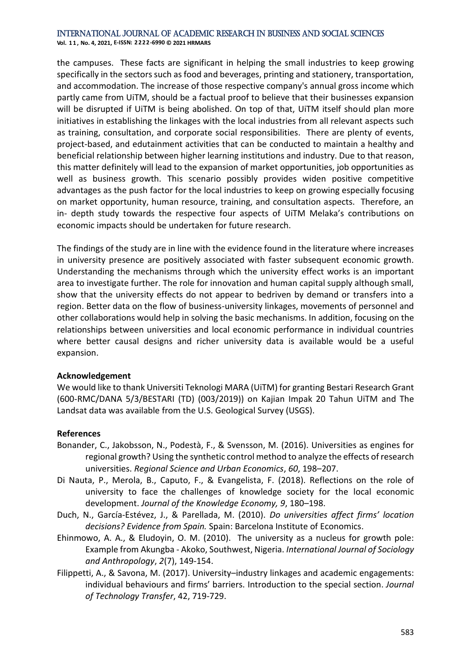**Vol. 1 1 , No. 4, 2021, E-ISSN: 2222-6990 © 2021 HRMARS**

the campuses. These facts are significant in helping the small industries to keep growing specifically in the sectors such as food and beverages, printing and stationery, transportation, and accommodation. The increase of those respective company's annual gross income which partly came from UiTM, should be a factual proof to believe that their businesses expansion will be disrupted if UiTM is being abolished. On top of that, UiTM itself should plan more initiatives in establishing the linkages with the local industries from all relevant aspects such as training, consultation, and corporate social responsibilities. There are plenty of events, project-based, and edutainment activities that can be conducted to maintain a healthy and beneficial relationship between higher learning institutions and industry. Due to that reason, this matter definitely will lead to the expansion of market opportunities, job opportunities as well as business growth. This scenario possibly provides widen positive competitive advantages as the push factor for the local industries to keep on growing especially focusing on market opportunity, human resource, training, and consultation aspects. Therefore, an in- depth study towards the respective four aspects of UiTM Melaka's contributions on economic impacts should be undertaken for future research.

The findings of the study are in line with the evidence found in the literature where increases in university presence are positively associated with faster subsequent economic growth. Understanding the mechanisms through which the university effect works is an important area to investigate further. The role for innovation and human capital supply although small, show that the university effects do not appear to bedriven by demand or transfers into a region. Better data on the flow of business-university linkages, movements of personnel and other collaborations would help in solving the basic mechanisms. In addition, focusing on the relationships between universities and local economic performance in individual countries where better causal designs and richer university data is available would be a useful expansion.

#### **Acknowledgement**

We would like to thank Universiti Teknologi MARA (UiTM) for granting Bestari Research Grant (600-RMC/DANA 5/3/BESTARI (TD) (003/2019)) on Kajian Impak 20 Tahun UiTM and The Landsat data was available from the U.S. Geological Survey (USGS).

#### **References**

- Bonander, C., Jakobsson, N., Podestà, F., & Svensson, M. (2016). Universities as engines for regional growth? Using the synthetic control method to analyze the effects of research universities. *Regional Science and Urban Economics*, *60*, 198–207.
- Di Nauta, P., Merola, B., Caputo, F., & Evangelista, F. (2018). Reflections on the role of university to face the challenges of knowledge society for the local economic development. *Journal of the Knowledge Economy, 9*, 180–198.
- Duch, N., García-Estévez, J., & Parellada, M. (2010). *Do universities affect firms' location decisions? Evidence from Spain.* Spain: Barcelona Institute of Economics.
- Ehinmowo, A. A., & Eludoyin, O. M. (2010). The university as a nucleus for growth pole: Example from Akungba - Akoko, Southwest, Nigeria. *International Journal of Sociology and Anthropology*, *2*(7), 149-154.
- Filippetti, A., & Savona, M. (2017). University–industry linkages and academic engagements: individual behaviours and firms' barriers. Introduction to the special section. *Journal of Technology Transfer*, 42, 719-729.